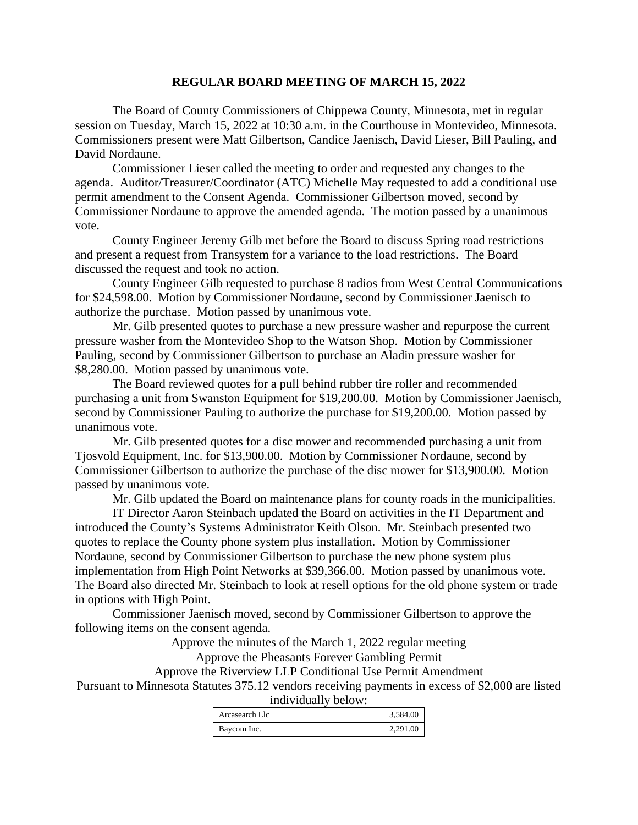## **REGULAR BOARD MEETING OF MARCH 15, 2022**

The Board of County Commissioners of Chippewa County, Minnesota, met in regular session on Tuesday, March 15, 2022 at 10:30 a.m. in the Courthouse in Montevideo, Minnesota. Commissioners present were Matt Gilbertson, Candice Jaenisch, David Lieser, Bill Pauling, and David Nordaune.

Commissioner Lieser called the meeting to order and requested any changes to the agenda. Auditor/Treasurer/Coordinator (ATC) Michelle May requested to add a conditional use permit amendment to the Consent Agenda. Commissioner Gilbertson moved, second by Commissioner Nordaune to approve the amended agenda. The motion passed by a unanimous vote.

County Engineer Jeremy Gilb met before the Board to discuss Spring road restrictions and present a request from Transystem for a variance to the load restrictions. The Board discussed the request and took no action.

County Engineer Gilb requested to purchase 8 radios from West Central Communications for \$24,598.00. Motion by Commissioner Nordaune, second by Commissioner Jaenisch to authorize the purchase. Motion passed by unanimous vote.

Mr. Gilb presented quotes to purchase a new pressure washer and repurpose the current pressure washer from the Montevideo Shop to the Watson Shop. Motion by Commissioner Pauling, second by Commissioner Gilbertson to purchase an Aladin pressure washer for \$8,280.00. Motion passed by unanimous vote.

The Board reviewed quotes for a pull behind rubber tire roller and recommended purchasing a unit from Swanston Equipment for \$19,200.00. Motion by Commissioner Jaenisch, second by Commissioner Pauling to authorize the purchase for \$19,200.00. Motion passed by unanimous vote.

Mr. Gilb presented quotes for a disc mower and recommended purchasing a unit from Tjosvold Equipment, Inc. for \$13,900.00. Motion by Commissioner Nordaune, second by Commissioner Gilbertson to authorize the purchase of the disc mower for \$13,900.00. Motion passed by unanimous vote.

Mr. Gilb updated the Board on maintenance plans for county roads in the municipalities.

IT Director Aaron Steinbach updated the Board on activities in the IT Department and introduced the County's Systems Administrator Keith Olson. Mr. Steinbach presented two quotes to replace the County phone system plus installation. Motion by Commissioner Nordaune, second by Commissioner Gilbertson to purchase the new phone system plus implementation from High Point Networks at \$39,366.00. Motion passed by unanimous vote. The Board also directed Mr. Steinbach to look at resell options for the old phone system or trade in options with High Point.

Commissioner Jaenisch moved, second by Commissioner Gilbertson to approve the following items on the consent agenda.

Approve the minutes of the March 1, 2022 regular meeting

Approve the Pheasants Forever Gambling Permit

Approve the Riverview LLP Conditional Use Permit Amendment Pursuant to Minnesota Statutes 375.12 vendors receiving payments in excess of \$2,000 are listed individually below:

| Arcasearch Llc | 3,584.00 |
|----------------|----------|
| Baycom Inc.    | 2.291.00 |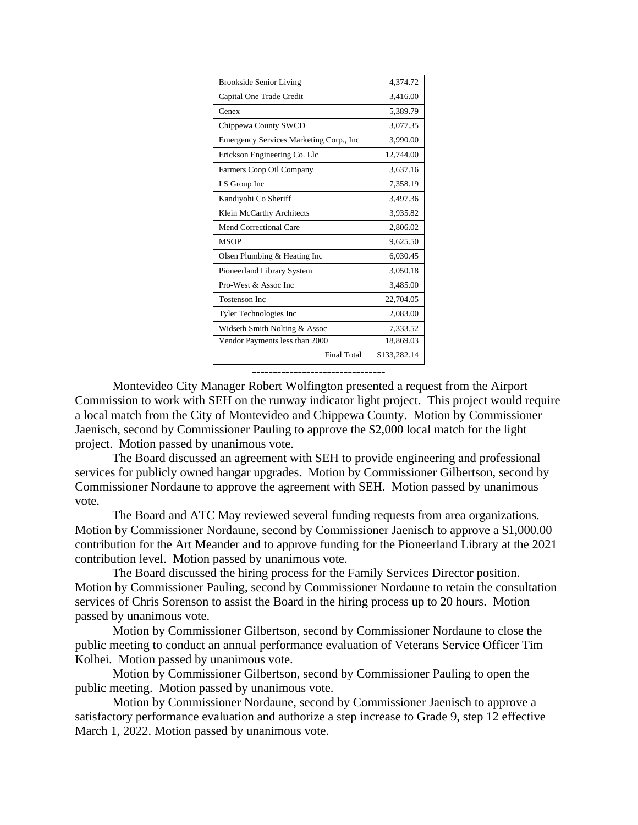| <b>Brookside Senior Living</b>          | 4.374.72     |
|-----------------------------------------|--------------|
| Capital One Trade Credit                | 3,416.00     |
| Cenex                                   | 5,389.79     |
| Chippewa County SWCD                    | 3,077.35     |
| Emergency Services Marketing Corp., Inc | 3,990.00     |
| Erickson Engineering Co. Llc            | 12,744.00    |
| Farmers Coop Oil Company                | 3,637.16     |
| I S Group Inc                           | 7,358.19     |
| Kandiyohi Co Sheriff                    | 3,497.36     |
| Klein McCarthy Architects               | 3,935.82     |
| <b>Mend Correctional Care</b>           | 2,806.02     |
| <b>MSOP</b>                             | 9,625.50     |
| Olsen Plumbing & Heating Inc            | 6,030.45     |
| Pioneerland Library System              | 3,050.18     |
| Pro-West & Assoc Inc                    | 3,485.00     |
| <b>Tostenson Inc.</b>                   | 22,704.05    |
| Tyler Technologies Inc                  | 2,083.00     |
| Widseth Smith Nolting & Assoc           | 7,333.52     |
| Vendor Payments less than 2000          | 18,869.03    |
| <b>Final Total</b>                      | \$133,282.14 |

--------------------------------

Montevideo City Manager Robert Wolfington presented a request from the Airport Commission to work with SEH on the runway indicator light project. This project would require a local match from the City of Montevideo and Chippewa County. Motion by Commissioner Jaenisch, second by Commissioner Pauling to approve the \$2,000 local match for the light project. Motion passed by unanimous vote.

The Board discussed an agreement with SEH to provide engineering and professional services for publicly owned hangar upgrades. Motion by Commissioner Gilbertson, second by Commissioner Nordaune to approve the agreement with SEH. Motion passed by unanimous vote.

The Board and ATC May reviewed several funding requests from area organizations. Motion by Commissioner Nordaune, second by Commissioner Jaenisch to approve a \$1,000.00 contribution for the Art Meander and to approve funding for the Pioneerland Library at the 2021 contribution level. Motion passed by unanimous vote.

The Board discussed the hiring process for the Family Services Director position. Motion by Commissioner Pauling, second by Commissioner Nordaune to retain the consultation services of Chris Sorenson to assist the Board in the hiring process up to 20 hours. Motion passed by unanimous vote.

Motion by Commissioner Gilbertson, second by Commissioner Nordaune to close the public meeting to conduct an annual performance evaluation of Veterans Service Officer Tim Kolhei. Motion passed by unanimous vote.

Motion by Commissioner Gilbertson, second by Commissioner Pauling to open the public meeting. Motion passed by unanimous vote.

Motion by Commissioner Nordaune, second by Commissioner Jaenisch to approve a satisfactory performance evaluation and authorize a step increase to Grade 9, step 12 effective March 1, 2022. Motion passed by unanimous vote.